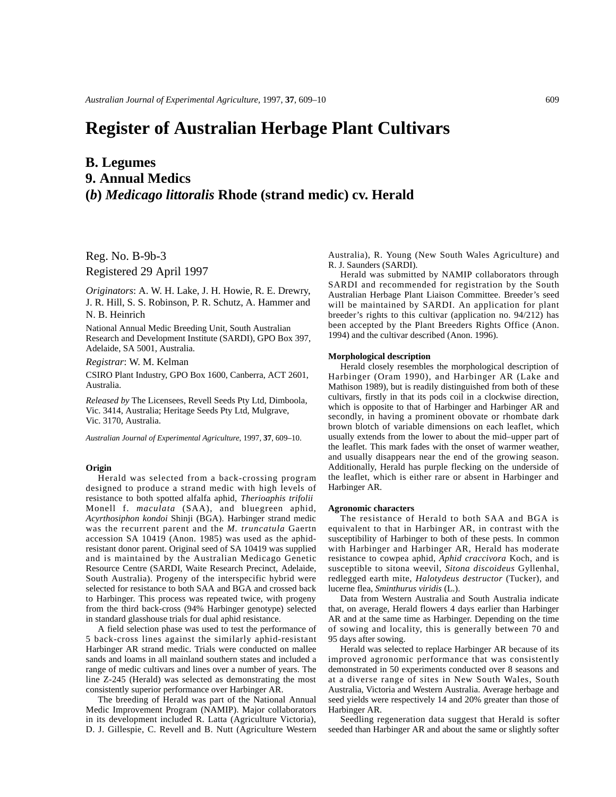# **Register of Australian Herbage Plant Cultivars**

## **B. Legumes 9. Annual Medics (***b***)** *Medicago littoralis* **Rhode (strand medic) cv. Herald**

Reg. No. B-9b-3 Registered 29 April 1997

*Originators*: A. W. H. Lake, J. H. Howie, R. E. Drewry, J. R. Hill, S. S. Robinson, P. R. Schutz, A. Hammer and N. B. Heinrich

National Annual Medic Breeding Unit, South Australian Research and Development Institute (SARDI), GPO Box 397, Adelaide, SA 5001, Australia.

*Registrar*: W. M. Kelman

CSIRO Plant Industry, GPO Box 1600, Canberra, ACT 2601, Australia.

*Released by* The Licensees, Revell Seeds Pty Ltd, Dimboola, Vic. 3414, Australia; Heritage Seeds Pty Ltd, Mulgrave, Vic. 3170, Australia.

*Australian Journal of Experimental Agriculture*, 1997, **37**, 609–10.

### **Origin**

Herald was selected from a back-crossing program designed to produce a strand medic with high levels of resistance to both spotted alfalfa aphid, *Therioaphis trifolii* Monell f. *maculata* (SAA), and bluegreen aphid, *Acyrthosiphon kondoi* Shinji (BGA). Harbinger strand medic was the recurrent parent and the *M. truncatula* Gaertn accession SA 10419 (Anon. 1985) was used as the aphidresistant donor parent. Original seed of SA 10419 was supplied and is maintained by the Australian Medicago Genetic Resource Centre (SARDI, Waite Research Precinct, Adelaide, South Australia). Progeny of the interspecific hybrid were selected for resistance to both SAA and BGA and crossed back to Harbinger. This process was repeated twice, with progeny from the third back-cross (94% Harbinger genotype) selected in standard glasshouse trials for dual aphid resistance.

A field selection phase was used to test the performance of 5 back-cross lines against the similarly aphid-resistant Harbinger AR strand medic. Trials were conducted on mallee sands and loams in all mainland southern states and included a range of medic cultivars and lines over a number of years. The line Z-245 (Herald) was selected as demonstrating the most consistently superior performance over Harbinger AR.

The breeding of Herald was part of the National Annual Medic Improvement Program (NAMIP). Major collaborators in its development included R. Latta (Agriculture Victoria), D. J. Gillespie, C. Revell and B. Nutt (Agriculture Western Australia), R. Young (New South Wales Agriculture) and R. J. Saunders (SARDI).

Herald was submitted by NAMIP collaborators through SARDI and recommended for registration by the South Australian Herbage Plant Liaison Committee. Breeder's seed will be maintained by SARDI. An application for plant breeder's rights to this cultivar (application no. 94/212) has been accepted by the Plant Breeders Rights Office (Anon. 1994) and the cultivar described (Anon. 1996).

#### **Morphological description**

Herald closely resembles the morphological description of Harbinger (Oram 1990), and Harbinger AR (Lake and Mathison 1989), but is readily distinguished from both of these cultivars, firstly in that its pods coil in a clockwise direction, which is opposite to that of Harbinger and Harbinger AR and secondly, in having a prominent obovate or rhombate dark brown blotch of variable dimensions on each leaflet, which usually extends from the lower to about the mid–upper part of the leaflet. This mark fades with the onset of warmer weather, and usually disappears near the end of the growing season. Additionally, Herald has purple flecking on the underside of the leaflet, which is either rare or absent in Harbinger and Harbinger AR.

#### **Agronomic characters**

The resistance of Herald to both SAA and BGA is equivalent to that in Harbinger AR, in contrast with the susceptibility of Harbinger to both of these pests. In common with Harbinger and Harbinger AR, Herald has moderate resistance to cowpea aphid, *Aphid craccivora* Koch, and is susceptible to sitona weevil, *Sitona discoideus* Gyllenhal, redlegged earth mite, *Halotydeus destructor* (Tucker), and lucerne flea, *Sminthurus viridis* (L.).

Data from Western Australia and South Australia indicate that, on average, Herald flowers 4 days earlier than Harbinger AR and at the same time as Harbinger. Depending on the time of sowing and locality, this is generally between 70 and 95 days after sowing.

Herald was selected to replace Harbinger AR because of its improved agronomic performance that was consistently demonstrated in 50 experiments conducted over 8 seasons and at a diverse range of sites in New South Wales, South Australia, Victoria and Western Australia. Average herbage and seed yields were respectively 14 and 20% greater than those of Harbinger AR.

Seedling regeneration data suggest that Herald is softer seeded than Harbinger AR and about the same or slightly softer